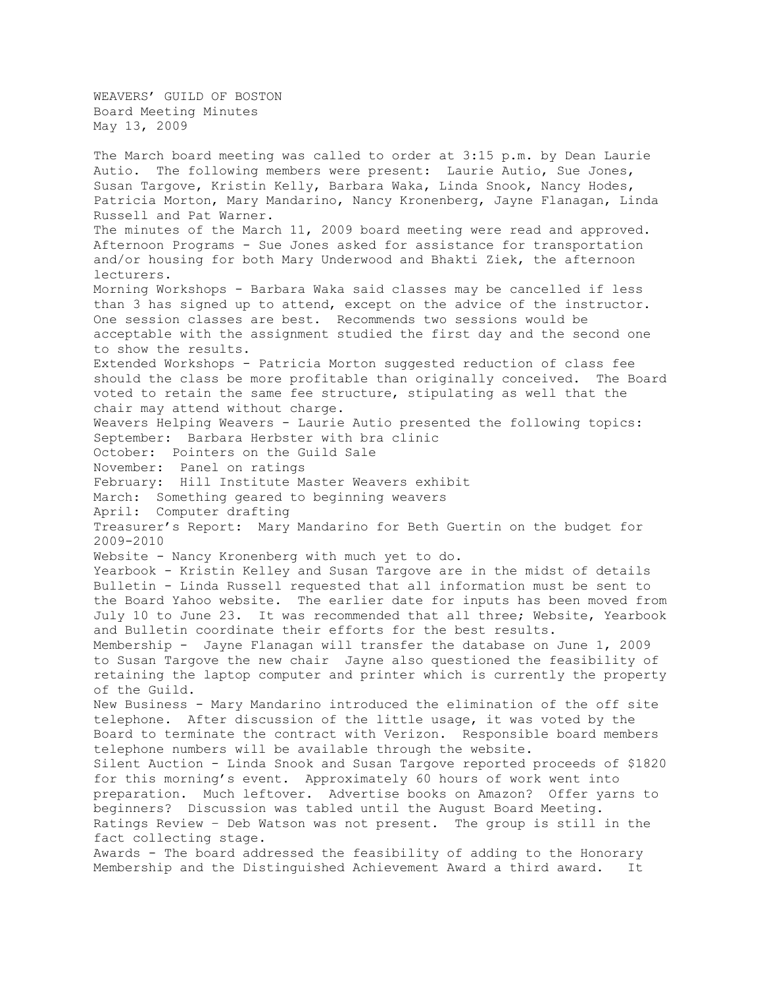WEAVERS' GUILD OF BOSTON Board Meeting Minutes May 13, 2009

The March board meeting was called to order at 3:15 p.m. by Dean Laurie Autio. The following members were present: Laurie Autio, Sue Jones, Susan Targove, Kristin Kelly, Barbara Waka, Linda Snook, Nancy Hodes, Patricia Morton, Mary Mandarino, Nancy Kronenberg, Jayne Flanagan, Linda Russell and Pat Warner. The minutes of the March 11, 2009 board meeting were read and approved. Afternoon Programs - Sue Jones asked for assistance for transportation and/or housing for both Mary Underwood and Bhakti Ziek, the afternoon lecturers. Morning Workshops - Barbara Waka said classes may be cancelled if less than 3 has signed up to attend, except on the advice of the instructor. One session classes are best. Recommends two sessions would be acceptable with the assignment studied the first day and the second one to show the results. Extended Workshops - Patricia Morton suggested reduction of class fee should the class be more profitable than originally conceived. The Board voted to retain the same fee structure, stipulating as well that the chair may attend without charge. Weavers Helping Weavers - Laurie Autio presented the following topics: September: Barbara Herbster with bra clinic October: Pointers on the Guild Sale November: Panel on ratings February: Hill Institute Master Weavers exhibit March: Something geared to beginning weavers April: Computer drafting Treasurer's Report: Mary Mandarino for Beth Guertin on the budget for 2009-2010 Website - Nancy Kronenberg with much yet to do. Yearbook - Kristin Kelley and Susan Targove are in the midst of details Bulletin - Linda Russell requested that all information must be sent to the Board Yahoo website. The earlier date for inputs has been moved from July 10 to June 23. It was recommended that all three; Website, Yearbook and Bulletin coordinate their efforts for the best results. Membership - Jayne Flanagan will transfer the database on June 1, 2009 to Susan Targove the new chair Jayne also questioned the feasibility of retaining the laptop computer and printer which is currently the property of the Guild. New Business - Mary Mandarino introduced the elimination of the off site telephone. After discussion of the little usage, it was voted by the Board to terminate the contract with Verizon. Responsible board members telephone numbers will be available through the website. Silent Auction - Linda Snook and Susan Targove reported proceeds of \$1820 for this morning's event. Approximately 60 hours of work went into preparation. Much leftover. Advertise books on Amazon? Offer yarns to beginners? Discussion was tabled until the August Board Meeting. Ratings Review – Deb Watson was not present. The group is still in the fact collecting stage. Awards - The board addressed the feasibility of adding to the Honorary Membership and the Distinguished Achievement Award a third award. It